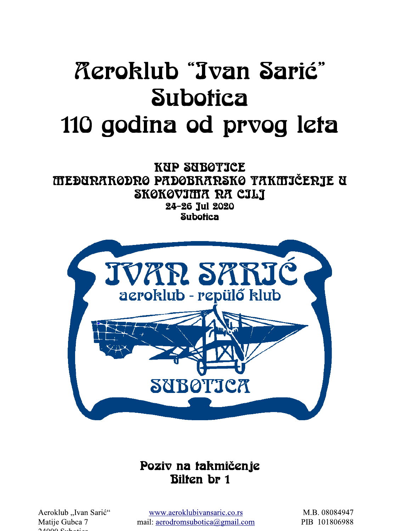# *Acroklub "Jvan Sarić"* **Subotica** 110 godina od prvog leta

**KUP SUBOTICE TTEĐURARODRO PADOBRARSKO TAKTIJČERJE U** SKØKØVIMA RA CILJ 24-26 Jul 2020 **Subotica** 



# Poziv na takmičenje **Bilten br 1**

Aeroklub "Ivan Sarić" Matije Gubca 7  $24000 - 5.1$ 

www.aeroklubivansaric.co.rs mail: aerodromsubotica@gmail.com

M.B. 08084947 PIB 101806988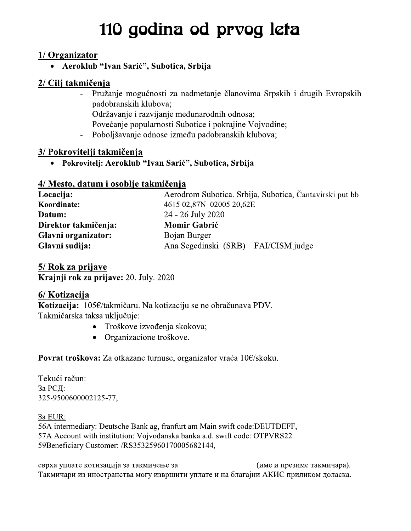1/ Organizator<br>• Aeroklub "Ivan Sarić", Subotica, Srbija

# <u>2/ Cilj takmičenja</u><br>Pruža

- 110 godina od prvog l<br>
1/ Organizator<br>
 Aeroklub "Ivan Sarić", Subotica, Srbija<br>
2/ Cilj takmičenja<br>
 Pružanje mogućnosti za nadmetanje članovima Srp<br>
padobranskih klubova;<br>
 Održavanje i razvijanje međunarodnih odnosa; Pružanje mogućnosti za nadmetanje članovima Srpskih i drugih Evropskih padobranskih klubova;
	- Održavanje i razvijanje međunarodnih odnosa;
	- Povećanje popularnosti Subotice i pokrajine Vojvodine;
	- Poboljšavanje odnose između padobranskih klubova;

### 4/ Mesto, datum i osoblje takmičenja

|                      | 2/ Cilj takmičenja                                                                              |  |  |  |
|----------------------|-------------------------------------------------------------------------------------------------|--|--|--|
| $\blacksquare$       | Pružanje mogućnosti za nadmetanje članovima Srpskih i drugih Evropskih<br>padobranskih klubova; |  |  |  |
| $\blacksquare$       | Održavanje i razvijanje međunarodnih odnosa;                                                    |  |  |  |
|                      | Povećanje popularnosti Subotice i pokrajine Vojvodine;                                          |  |  |  |
| $\blacksquare$       | Poboljšavanje odnose između padobranskih klubova;                                               |  |  |  |
|                      | 3/ Pokrovitelji takmičenja                                                                      |  |  |  |
| $\bullet$            | Pokrovitelj: Aeroklub "Ivan Sarić", Subotica, Srbija                                            |  |  |  |
|                      | 4/ Mesto, datum i osoblje takmičenja                                                            |  |  |  |
| Locacija:            | Aerodrom Subotica. Srbija, Subotica, Čantavirski put bb                                         |  |  |  |
| Koordinate:          | 4615 02,87N 02005 20,62E                                                                        |  |  |  |
| Datum:               | 24 - 26 July 2020                                                                               |  |  |  |
|                      |                                                                                                 |  |  |  |
| Direktor takmičenja: | <b>Momir Gabrić</b>                                                                             |  |  |  |
| Glavni organizator:  | Bojan Burger                                                                                    |  |  |  |

5/ Rok za prijave  $\overline{\text{Kra}}$ inji rok za prijave: 20. July. 2020

### 6/ Kotizacija

Kotizacija: 105€/takmičaru. Na kotizaciju se ne obračunava PDV. Takmičarska taksa uključuje:

- Troškove izvođenja skokova;
- Organizacione troškove.

Povrat troskova: Za otkazane turnuse, organizator vraca T0€/skoku.

l'ekuci račun: За РСД: 325-9500600002125-77,

<u>3a EUR:</u> 56A intermediary: Deutsche Bank ag, franfurt am Main swift code: DEUTDEFF, 57A Account with institution: Vojvođanska banka a.d. swift code: OTPVRS22 59Beneficiary Customer: /RS35325960170005682144,

np\ Такмичари из иностранства могу извршити уплате и на благајни АКИС приликом доласка.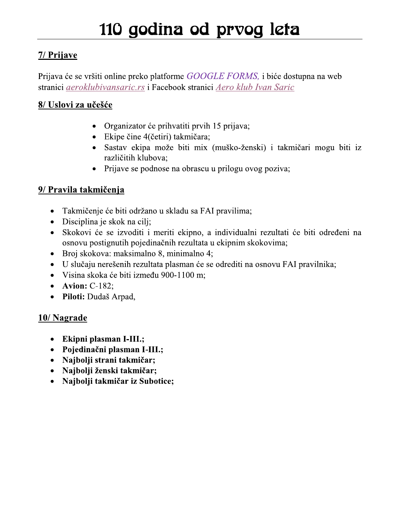## 7/ Prijave

Prijava će se vršiti online preko platforme GOOGLE FORMS, i biće dostupna na web stranici aeroklubivansaric.rs i Facebook stranici Aero klub Ivan Saric

## 8/ Uslovi za učešće

- Organizator će prihvatiti prvih 15 prijava;
- Ekipe čine 4(četiri) takmičara;
- · Sastav ekipa može biti mix (muško-ženski) i takmičari mogu biti iz različitih klubova;
- Prijave se podnose na obrascu u prilogu ovog poziva;

## 9/ Pravila takmičenja

- Takmičenje će biti održano u skladu sa FAI pravilima;
- Disciplina je skok na cili;
- Skokovi će se izvoditi i meriti ekipno, a individualni rezultati će biti određeni na osnovu postignutih pojedinačnih rezultata u ekipnim skokovima;
- Broj skokova: maksimalno 8, minimalno 4;
- U slučaju nerešenih rezultata plasman će se odrediti na osnovu FAI pravilnika;  $\bullet$
- · Visina skoka će biti između 900-1100 m;
- Avion:  $C-182$ ;
- Piloti: Dudaš Arpad,

### 10/Nagrade

- Ekipni plasman I-III.;
- Pojedinačni plasman I-III.;
- Najbolji strani takmičar;
- · Najbolji ženski takmičar;
- Najbolji takmičar iz Subotice;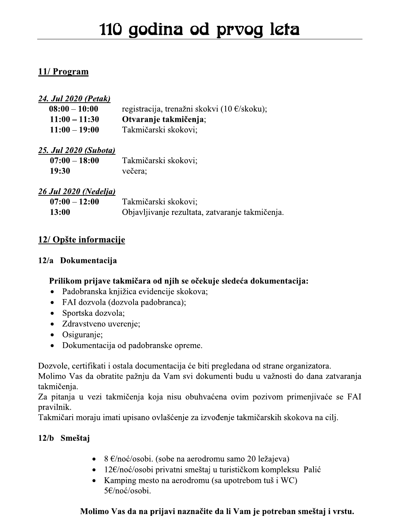### 11/ Program

| <u>11/ Program</u>           |                                                       |
|------------------------------|-------------------------------------------------------|
| <u>24. Jul 2020 (Petak)</u>  |                                                       |
| $08:00 - 10:00$              | registracija, trenažni skokvi (10 $\epsilon$ /skoku); |
| $11:00 - 11:30$              | Otvaranje takmičenja;                                 |
| $11:00 - 19:00$              | Takmičarski skokovi;                                  |
| <u>25. Jul 2020 (Subota)</u> |                                                       |
| $07:00 - 18:00$              | Takmičarski skokovi;                                  |
| 19:30                        | večera:                                               |
| <b>26 Jul 2020 (Nedelja)</b> |                                                       |
| $07:00 - 12:00$              | Takmičarski skokovi;                                  |
| 13:00                        | Objavljivanje rezultata, zatvaranje takmičen          |
| 12/ Opšte informacije        |                                                       |

### 26 Jul 2020 (Nedelja)

| $07:00 - 12:00$ | Takmičarski skokovi;                            |
|-----------------|-------------------------------------------------|
| <b>13:00</b>    | Objavljivanje rezultata, zatvaranje takmičenja. |

### 12/ Opšte informacije

### 12/a Dokumentacija

### Prilikom prijave takmičara od njih se očekuje sledeća dokumentacija:

- Padobranska knjižica evidencije skokova;
- FAI dozvola (dozvola padobranca);
- Sportska dozvola;
- Zdravstveno uverenje;
- Osiguranje;
- Dokumentacija od padobranske opreme.

 Dozvole, certifikati i ostala documentacija ce biti pregledana od strane organizatora.

Molimo Vas da obratite pažnju da Vam svi dokumenti budu u važnosti do dana zatvaranja takmičenja.

Za pitanja u vezi takmičenja koja nisu obuhvaćena ovim pozivom primenjivaće se FAI pravilnik.

Takmičari moraju imati upisano ovlašćenje za izvođenje takmičarskih skokova na cilj.

- **12/b** Smeštaj<br>• 8  $\epsilon$ /noć/osobi. (sobe na aerodromu samo 20 ležajeva)
	- 12 $\varepsilon$ /noć/osobi privatni smeštaj u turističkom kompleksu Palić
	- Kamping mesto na aerodromu (sa upotrebom tuš i WC) 5€/noć/osobi.

### Molimo Vas da na prijavi naznačite da li Vam je potreban smeštaj i vrstu.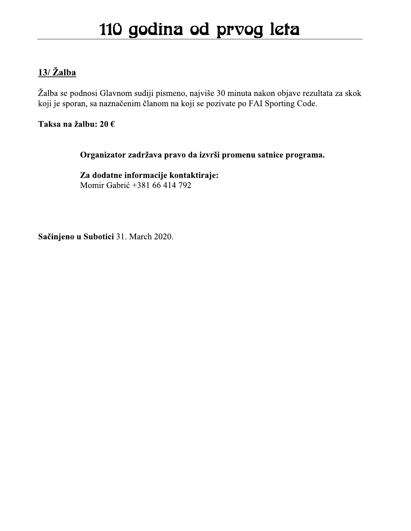## $13/\check{Z}$ alba

Žalba se podnosi Glavnom sudiji pismeno, najviše 30 minuta nakon objave rezultata za skok koji je sporan, sa naznačenim članom na koji se pozivate po FAI Sporting Code.

Taksa na žalbu: 20 €

Organizator zadržava pravo da izvrši promenu satnice programa.

Za dodatne informacije kontaktiraje: Momir Gabrić +381 66 414 792

Sačinjeno u Subotici 31. March 2020.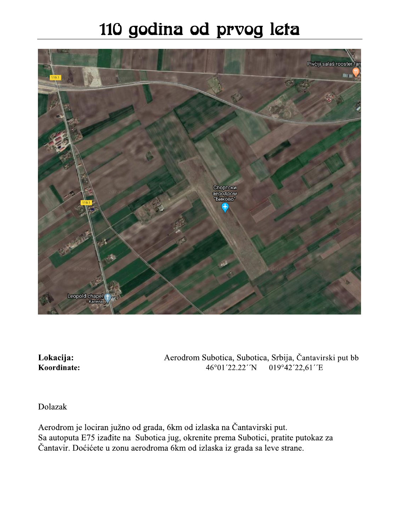# 110 godina od prvog leta



Lokacija: Koordinate: Aerodrom Subotica, Subotica, Srbija, Čantavirski put bb 019°42'22,61''E 46°01′22.22′′N

Dolazak

Aerodrom je lociran južno od grada, 6km od izlaska na Čantavirski put. Sa autoputa E75 izađite na Subotica jug, okrenite prema Subotici, pratite putokaz za Čantavir. Doćićete u zonu aerodroma 6km od izlaska iz grada sa leve strane.